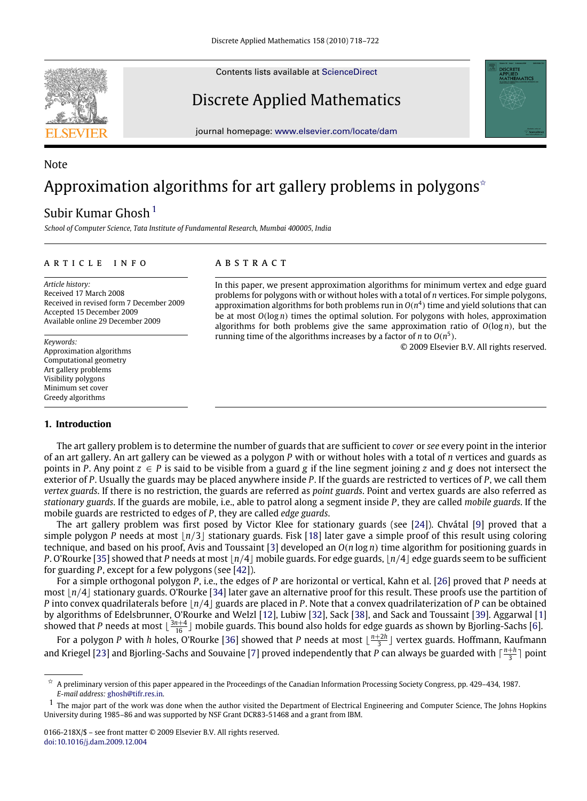Contents lists available at [ScienceDirect](http://www.elsevier.com/locate/dam)



# Discrete Applied Mathematics

journal homepage: [www.elsevier.com/locate/dam](http://www.elsevier.com/locate/dam)

# Note Approximation algorithms for art gallery problems in polygons<sup> $\star$ </sup>

# Subir Kumar Ghosh $<sup>1</sup>$  $<sup>1</sup>$  $<sup>1</sup>$ </sup>

*School of Computer Science, Tata Institute of Fundamental Research, Mumbai 400005, India*

### ARTICLE INFO

*Article history:* Received 17 March 2008 Received in revised form 7 December 2009 Accepted 15 December 2009 Available online 29 December 2009

*Keywords:* Approximation algorithms Computational geometry Art gallery problems Visibility polygons Minimum set cover Greedy algorithms

### **1. Introduction**

## a b s t r a c t

In this paper, we present approximation algorithms for minimum vertex and edge guard problems for polygons with or without holes with a total of *n* vertices. For simple polygons, approximation algorithms for both problems run in  $O(n^4)$  time and yield solutions that can be at most *O*(log *n*) times the optimal solution. For polygons with holes, approximation algorithms for both problems give the same approximation ratio of *O*(log *n*), but the running time of the algorithms increases by a factor of *n* to  $O(n^5)$ .

© 2009 Elsevier B.V. All rights reserved.

The art gallery problem is to determine the number of guards that are sufficient to *cover* or *see* every point in the interior of an art gallery. An art gallery can be viewed as a polygon *P* with or without holes with a total of *n* vertices and guards as points in *P*. Any point  $z \in P$  is said to be visible from a guard *g* if the line segment joining *z* and *g* does not intersect the exterior of *P*. Usually the guards may be placed anywhere inside *P*. If the guards are restricted to vertices of *P*, we call them *vertex guards*. If there is no restriction, the guards are referred as *point guards*. Point and vertex guards are also referred as *stationary guards*. If the guards are mobile, i.e., able to patrol along a segment inside *P*, they are called *mobile guards*. If the mobile guards are restricted to edges of *P*, they are called *edge guards*.

The art gallery problem was first posed by Victor Klee for stationary guards (see [\[24\]](#page-4-0)). Chvátal [\[9\]](#page-4-1) proved that a simple polygon *P* needs at most  $\lfloor n/3 \rfloor$  stationary guards. Fisk [\[18\]](#page-4-2) later gave a simple proof of this result using coloring technique, and based on his proof, Avis and Toussaint [\[3\]](#page-4-3) developed an *O*(*n* log *n*) time algorithm for positioning guards in *P*. O'Rourke [\[35\]](#page-4-4) showed that *P* needs at most  $n/4$  mobile guards. For edge guards,  $n/4$  edge guards seem to be sufficient for guarding *P*, except for a few polygons (see [\[42\]](#page-4-5)).

For a simple orthogonal polygon *P*, i.e., the edges of *P* are horizontal or vertical, Kahn et al. [\[26\]](#page-4-6) proved that *P* needs at most  $|n/4|$  stationary guards. O'Rourke [\[34\]](#page-4-7) later gave an alternative proof for this result. These proofs use the partition of *P* into convex quadrilaterals before  $\lfloor n/4 \rfloor$  guards are placed in *P*. Note that a convex quadrilaterization of *P* can be obtained by algorithms of Edelsbrunner, O'Rourke and Welzl [\[12\]](#page-4-8), Lubiw [\[32\]](#page-4-9), Sack [\[38\]](#page-4-10), and Sack and Toussaint [\[39\]](#page-4-11). Aggarwal [\[1\]](#page-4-12) showed that *P* needs at most  $\lfloor \frac{3n+4}{16} \rfloor$  mobile guards. This bound also holds for edge guards as shown by Bjorling-Sachs [\[6\]](#page-4-13).

For a polygon P with *h* holes, O'Rourke [\[36\]](#page-4-14) showed that P needs at most  $\lfloor \frac{n+2h}{3} \rfloor$  vertex guards. Hoffmann, Kaufmann and Kriegel [\[23\]](#page-4-15) and Bjorling-Sachs and Souvaine [\[7\]](#page-4-16) proved independently that P can always be guarded with  $\lceil \frac{n+h}{3} \rceil$  point

<span id="page-0-0"></span><sup>✩</sup> A preliminary version of this paper appeared in the Proceedings of the Canadian Information Processing Society Congress, pp. 429–434, 1987. *E-mail address:* [ghosh@tifr.res.in.](mailto:ghosh@tifr.res.in)

<span id="page-0-1"></span> $<sup>1</sup>$  The maior part of the work was done when the author visited the Department of Electrical Engineering and Computer Science, The Johns Hopkins</sup> University during 1985–86 and was supported by NSF Grant DCR83-51468 and a grant from IBM.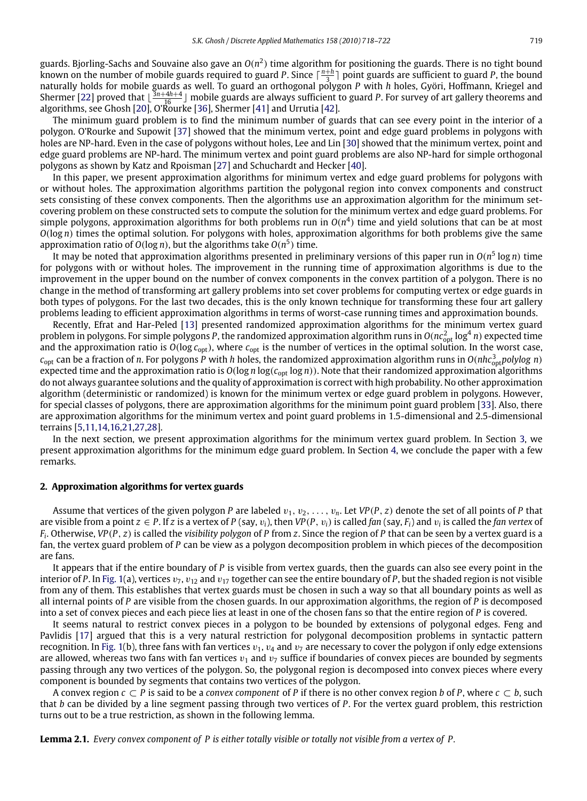guards. Bjorling-Sachs and Souvaine also gave an  $O(n^2)$  time algorithm for positioning the guards. There is no tight bound known on the number of mobile guards required to guard *P*. Since  $\lceil \frac{n+h}{3} \rceil$  point guards are sufficient to guard *P*, the bound naturally holds for mobile guards as well. To guard an orthogonal polygon *P* with *h* holes, Györi, Hoffmann, Kriegel and Shermer [\[22\]](#page-4-17) proved that  $\frac{3n+4h+4}{16}$  mobile guards are always sufficient to guard *P*. For survey of art gallery theorems and algorithms, see Ghosh [\[20\]](#page-4-18), O'Rourke [\[36\]](#page-4-14), Shermer [\[41\]](#page-4-19) and Urrutia [\[42\]](#page-4-5).

The minimum guard problem is to find the minimum number of guards that can see every point in the interior of a polygon. O'Rourke and Supowit [\[37\]](#page-4-20) showed that the minimum vertex, point and edge guard problems in polygons with holes are NP-hard. Even in the case of polygons without holes, Lee and Lin [\[30\]](#page-4-21) showed that the minimum vertex, point and edge guard problems are NP-hard. The minimum vertex and point guard problems are also NP-hard for simple orthogonal polygons as shown by Katz and Rpoisman [\[27\]](#page-4-22) and Schuchardt and Hecker [\[40\]](#page-4-23).

In this paper, we present approximation algorithms for minimum vertex and edge guard problems for polygons with or without holes. The approximation algorithms partition the polygonal region into convex components and construct sets consisting of these convex components. Then the algorithms use an approximation algorithm for the minimum setcovering problem on these constructed sets to compute the solution for the minimum vertex and edge guard problems. For simple polygons, approximation algorithms for both problems run in  $O(n^4)$  time and yield solutions that can be at most *O*(log *n*) times the optimal solution. For polygons with holes, approximation algorithms for both problems give the same approximation ratio of  $O(\log n)$ , but the algorithms take  $O(n^5)$  time.

It may be noted that approximation algorithms presented in preliminary versions of this paper run in O( $n^5\log n$ ) time for polygons with or without holes. The improvement in the running time of approximation algorithms is due to the improvement in the upper bound on the number of convex components in the convex partition of a polygon. There is no change in the method of transforming art gallery problems into set cover problems for computing vertex or edge guards in both types of polygons. For the last two decades, this is the only known technique for transforming these four art gallery problems leading to efficient approximation algorithms in terms of worst-case running times and approximation bounds.

Recently, Efrat and Har-Peled [\[13\]](#page-4-24) presented randomized approximation algorithms for the minimum vertex guard problem in polygons. For simple polygons P, the randomized approximation algorithm runs in  $O(n c_{\rm opt}^2 \log^4 n)$  expected time and the approximation ratio is  $O(log c_{opt})$ , where  $c_{opt}$  is the number of vertices in the optimal solution. In the worst case, *c*opt can be a fraction of *n*. For polygons *P* with *h* holes, the randomized approximation algorithm runs in *O*(*nhc*<sup>3</sup> opt*polylog n*) expected time and the approximation ratio is *O*(log *n* log(*c*opt log *n*)). Note that their randomized approximation algorithms do not always guarantee solutions and the quality of approximation is correct with high probability. No other approximation algorithm (deterministic or randomized) is known for the minimum vertex or edge guard problem in polygons. However, for special classes of polygons, there are approximation algorithms for the minimum point guard problem [\[33\]](#page-4-25). Also, there are approximation algorithms for the minimum vertex and point guard problems in 1.5-dimensional and 2.5-dimensional terrains [\[5,](#page-4-26)[11](#page-4-27)[,14,](#page-4-28)[16](#page-4-29)[,21,](#page-4-30)[27](#page-4-22)[,28\]](#page-4-31).

In the next section, we present approximation algorithms for the minimum vertex guard problem. In Section [3,](#page-3-0) we present approximation algorithms for the minimum edge guard problem. In Section [4,](#page-3-1) we conclude the paper with a few remarks.

#### **2. Approximation algorithms for vertex guards**

Assume that vertices of the given polygon *P* are labeled  $v_1, v_2, \ldots, v_n$ . Let  $VP(P, z)$  denote the set of all points of *P* that are visible from a point  $z \in P$ . If z is a vertex of P (say,  $v_i$ ), then VP(P,  $v_i$ ) is called fan (say,  $F_i$ ) and  $v_i$  is called the fan vertex of *Fi* . Otherwise, *VP*(*P*, *z*) is called the *visibility polygon* of *P* from *z*. Since the region of *P* that can be seen by a vertex guard is a fan, the vertex guard problem of *P* can be view as a polygon decomposition problem in which pieces of the decomposition are fans.

It appears that if the entire boundary of *P* is visible from vertex guards, then the guards can also see every point in the interior of *P*. In [Fig. 1\(](#page-2-0)a), vertices  $v_7$ ,  $v_{12}$  and  $v_{17}$  together can see the entire boundary of *P*, but the shaded region is not visible from any of them. This establishes that vertex guards must be chosen in such a way so that all boundary points as well as all internal points of *P* are visible from the chosen guards. In our approximation algorithms, the region of *P* is decomposed into a set of convex pieces and each piece lies at least in one of the chosen fans so that the entire region of *P* is covered.

It seems natural to restrict convex pieces in a polygon to be bounded by extensions of polygonal edges. Feng and Pavlidis [\[17\]](#page-4-32) argued that this is a very natural restriction for polygonal decomposition problems in syntactic pattern recognition. In [Fig. 1\(](#page-2-0)b), three fans with fan vertices  $v_1$ ,  $v_4$  and  $v_7$  are necessary to cover the polygon if only edge extensions are allowed, whereas two fans with fan vertices  $v_1$  and  $v_7$  suffice if boundaries of convex pieces are bounded by segments passing through any two vertices of the polygon. So, the polygonal region is decomposed into convex pieces where every component is bounded by segments that contains two vertices of the polygon.

A convex region *c* ⊂ *P* is said to be a *convex component* of *P* if there is no other convex region *b* of *P*, where *c* ⊂ *b*, such that *b* can be divided by a line segment passing through two vertices of *P*. For the vertex guard problem, this restriction turns out to be a true restriction, as shown in the following lemma.

**Lemma 2.1.** *Every convex component of P is either totally visible or totally not visible from a vertex of P.*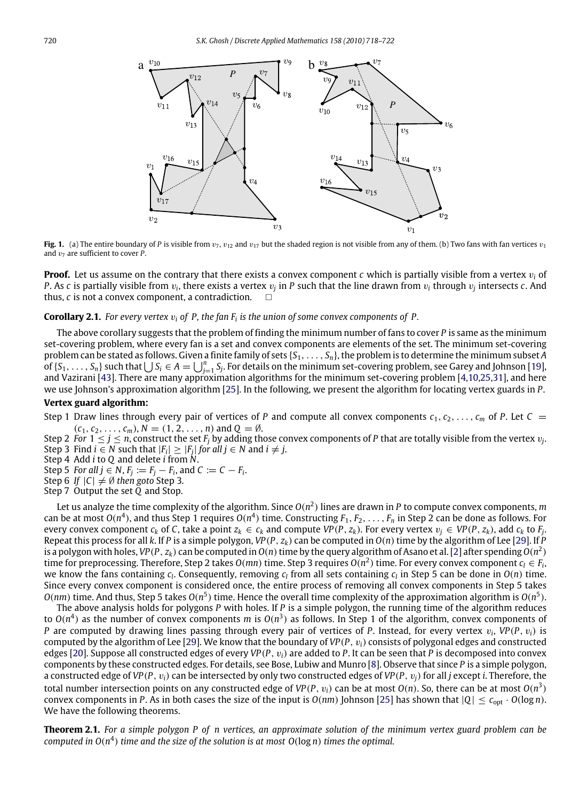<span id="page-2-0"></span>

**Fig. 1.** (a) The entire boundary of *P* is visible from  $v_7$ ,  $v_{12}$  and  $v_{17}$  but the shaded region is not visible from any of them. (b) Two fans with fan vertices  $v_1$ and  $v_7$  are sufficient to cover  $\vec{P}$ .

**Proof.** Let us assume on the contrary that there exists a convex component *c* which is partially visible from a vertex v*<sup>i</sup>* of *P*. As *c* is partially visible from  $v_i$ , there exists a vertex  $v_j$  in *P* such that the line drawn from  $v_i$  through  $v_j$  intersects *c*. And thus,  $c$  is not a convex component, a contradiction.  $\Box$ 

#### **Corollary 2.1.** *For every vertex* v*<sup>i</sup> of P, the fan F<sup>i</sup> is the union of some convex components of P.*

The above corollary suggests that the problem of finding the minimum number of fans to cover *P* is same as the minimum set-covering problem, where every fan is a set and convex components are elements of the set. The minimum set-covering problem can be stated as follows. Given a finite family of sets {*S*1, . . . , *Sn*}, the problem is to determine the minimum subset *A* of  $\{S_1, \ldots, S_n\}$  such that  $\bigcup S_i \in A = \bigcup_{j=1}^n S_j$ . For details on the minimum set-covering problem, see Garey and Johnson [\[19\]](#page-4-33), and Vazirani [\[43\]](#page-4-34). There are many approximation algorithms for the minimum set-covering problem [\[4](#page-4-35)[,10,](#page-4-36)[25](#page-4-37)[,31\]](#page-4-38), and here we use Johnson's approximation algorithm [\[25\]](#page-4-37). In the following, we present the algorithm for locating vertex guards in *P*. **Vertex guard algorithm:**

Step 1 Draw lines through every pair of vertices of *P* and compute all convex components  $c_1, c_2, \ldots, c_m$  of *P*. Let  $C =$  $(c_1, c_2, \ldots, c_m)$ ,  $N = (1, 2, \ldots, n)$  and  $Q = \emptyset$ .

Step 2 *For*  $1 \le j \le n$ , construct the set  $F_j$  by adding those convex components of P that are totally visible from the vertex  $v_j$ . Step 3 Find *i* ∈ *N* such that  $|F_i|$  ≥  $|F_j|$  for all *j* ∈ *N* and *i* ≠ *j*.

- Step 4 Add *i* to *Q* and delete *i* from *N*.
- Step 5 *For all j*  $\in$  *N*,  $F_j := F_j F_i$ , and  $C := C F_i$ .
- Step 6 *If*  $|C| \neq \emptyset$  *then goto* Step 3.
- Step 7 Output the set *Q* and Stop.

Let us analyze the time complexity of the algorithm. Since  $O(n^2)$  lines are drawn in P to compute convex components,  $m$ can be at most  $O(n^4)$ , and thus Step 1 requires  $O(n^4)$  time. Constructing  $F_1, F_2, \ldots, F_n$  in Step 2 can be done as follows. For every convex component  $c_k$  of C, take a point  $z_k \in c_k$  and compute  $VP(P, z_k)$ . For every vertex  $v_j \in VP(P, z_k)$ , add  $c_k$  to  $F_j$ . Repeat this process for all *k*. If *P* is a simple polygon, *VP*(*P*,  $z_k$ ) can be computed in  $O(n)$  time by the algorithm of Lee [\[29\]](#page-4-39). If *P* is a polygon with holes, VP(P,  $z_k$ ) can be computed in  $O(n)$  time by the query algorithm of Asano et al. [\[2\]](#page-4-40) after spending  $O(n^2)$ time for preprocessing. Therefore, Step 2 takes  $O(mn)$  time. Step 3 requires  $O(n^2)$  time. For every convex component  $c_l \in F_i$ , we know the fans containing  $c_l$ . Consequently, removing  $c_l$  from all sets containing  $c_l$  in Step 5 can be done in  $O(n)$  time. Since every convex component is considered once, the entire process of removing all convex components in Step 5 takes  $O(nm)$  time. And thus, Step 5 takes  $O(n^5)$  time. Hence the overall time complexity of the approximation algorithm is  $O(n^5)$ .

The above analysis holds for polygons *P* with holes. If *P* is a simple polygon, the running time of the algorithm reduces to  $O(n^4)$  as the number of convex components *m* is  $O(n^3)$  as follows. In Step 1 of the algorithm, convex components of *P* are computed by drawing lines passing through every pair of vertices of *P*. Instead, for every vertex v*<sup>i</sup>* , *VP*(*P*, v*i*) is computed by the algorithm of Lee [\[29\]](#page-4-39). We know that the boundary of *VP*(*P*, v*i*) consists of polygonal edges and constructed edges [\[20\]](#page-4-18). Suppose all constructed edges of every *VP*(*P*, v*i*) are added to *P*. It can be seen that *P* is decomposed into convex components by these constructed edges. For details, see Bose, Lubiw and Munro [\[8\]](#page-4-41). Observe that since *P* is a simple polygon, a constructed edge of *VP*(*P*, v*i*) can be intersected by only two constructed edges of *VP*(*P*, v*j*) for all *j* except *i*. Therefore, the total number intersection points on any constructed edge of VP(P,  $v_i$ ) can be at most  $O(n)$ . So, there can be at most  $O(n^3)$ convex components in *P*. As in both cases the size of the input is  $O(nm)$  Johnson [\[25\]](#page-4-37) has shown that  $|Q| \leq c_{opt} \cdot O(\log n)$ . We have the following theorems.

**Theorem 2.1.** *For a simple polygon P of n vertices, an approximate solution of the minimum vertex guard problem can be computed in O*(*n* 4 ) *time and the size of the solution is at most O*(log *n*) *times the optimal.*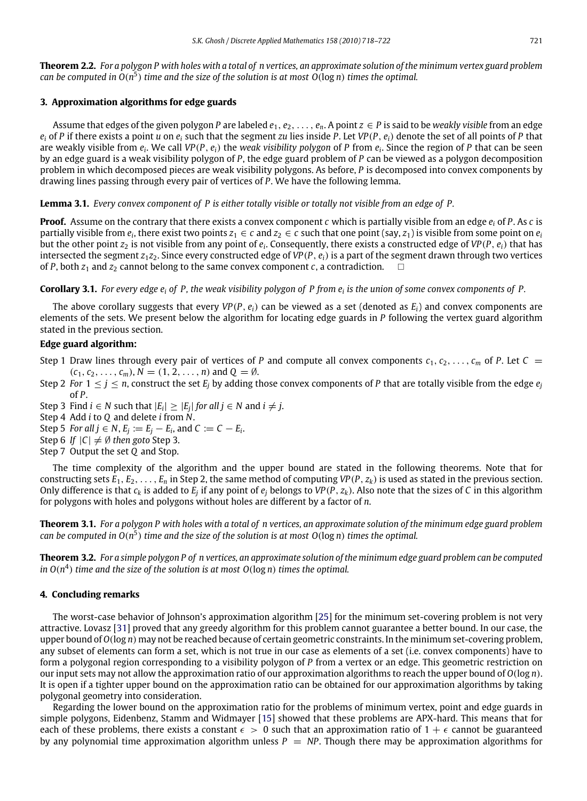**Theorem 2.2.** *For a polygon P with holes with a total of n vertices, an approximate solution of the minimum vertex guard problem can be computed in O*(*n* 5 ) *time and the size of the solution is at most O*(log *n*) *times the optimal.*

#### <span id="page-3-0"></span>**3. Approximation algorithms for edge guards**

Assume that edges of the given polygon P are labeled  $e_1, e_2, \ldots, e_n$ . A point  $z \in P$  is said to be *weakly visible* from an edge  $e_i$  of *P* if there exists a point *u* on  $e_i$  such that the segment *zu* lies inside *P*. Let *VP*(*P*,  $e_i$ ) denote the set of all points of *P* that are weakly visible from *e<sup>i</sup>* . We call *VP*(*P*, *ei*) the *weak visibility polygon* of *P* from *e<sup>i</sup>* . Since the region of *P* that can be seen by an edge guard is a weak visibility polygon of *P*, the edge guard problem of *P* can be viewed as a polygon decomposition problem in which decomposed pieces are weak visibility polygons. As before, *P* is decomposed into convex components by drawing lines passing through every pair of vertices of *P*. We have the following lemma.

**Lemma 3.1.** *Every convex component of P is either totally visible or totally not visible from an edge of P.*

**Proof.** Assume on the contrary that there exists a convex component *c* which is partially visible from an edge *e<sup>i</sup>* of *P*. As *c* is partially visible from  $e_i$ , there exist two points  $z_1 \in c$  and  $z_2 \in c$  such that one point (say,  $z_1$ ) is visible from some point on  $e_i$ but the other point *z*<sup>2</sup> is not visible from any point of *e<sup>i</sup>* . Consequently, there exists a constructed edge of *VP*(*P*, *ei*) that has intersected the segment  $z_1z_2$ . Since every constructed edge of  $VP(P, e_i)$  is a part of the segment drawn through two vertices of *P*, both  $z_1$  and  $z_2$  cannot belong to the same convex component *c*, a contradiction.

**Corollary 3.1.** *For every edge e<sup>i</sup> of P, the weak visibility polygon of P from e<sup>i</sup> is the union of some convex components of P.*

The above corollary suggests that every  $VP(P, e_i)$  can be viewed as a set (denoted as  $E_i$ ) and convex components are elements of the sets. We present below the algorithm for locating edge guards in *P* following the vertex guard algorithm stated in the previous section.

#### **Edge guard algorithm:**

- Step 1 Draw lines through every pair of vertices of *P* and compute all convex components  $c_1, c_2, \ldots, c_m$  of *P*. Let  $C =$  $(c_1, c_2, \ldots, c_m)$ ,  $N = (1, 2, \ldots, n)$  and  $Q = \emptyset$ .
- Step 2 *For*  $1 \leq j \leq n$ , construct the set  $E_j$  by adding those convex components of P that are totally visible from the edge  $e_j$ of *P*.

Step 3 Find *i* ∈ *N* such that  $|E_i|$  ≥  $|E_j|$  *for all j* ∈ *N* and *i* ≠ *j*.

- Step 4 Add *i* to *Q* and delete *i* from *N*.
- Step 5 *For all*  $j \in N$ ,  $E_j := E_j E_i$ , and  $C := C E_i$ .
- Step 6 *If*  $|C| \neq \emptyset$  *then goto* Step 3.
- Step 7 Output the set *Q* and Stop.

The time complexity of the algorithm and the upper bound are stated in the following theorems. Note that for constructing sets  $E_1, E_2, \ldots, E_n$  in Step 2, the same method of computing  $VP(P, z_k)$  is used as stated in the previous section. Only difference is that  $c_k$  is added to  $E_j$  if any point of  $e_j$  belongs to VP(P,  $z_k$ ). Also note that the sizes of C in this algorithm for polygons with holes and polygons without holes are different by a factor of *n*.

**Theorem 3.1.** *For a polygon P with holes with a total of n vertices, an approximate solution of the minimum edge guard problem* can be computed in  $O(n^5)$  time and the size of the solution is at most  $O(\log n)$  times the optimal.

**Theorem 3.2.** *For a simple polygon P of n vertices, an approximate solution of the minimum edge guard problem can be computed in O*(*n* 4 ) *time and the size of the solution is at most O*(log *n*) *times the optimal.*

#### <span id="page-3-1"></span>**4. Concluding remarks**

The worst-case behavior of Johnson's approximation algorithm [\[25\]](#page-4-37) for the minimum set-covering problem is not very attractive. Lovasz [\[31\]](#page-4-38) proved that any greedy algorithm for this problem cannot guarantee a better bound. In our case, the upper bound of *O*(log *n*) may not be reached because of certain geometric constraints. In the minimum set-covering problem, any subset of elements can form a set, which is not true in our case as elements of a set (i.e. convex components) have to form a polygonal region corresponding to a visibility polygon of *P* from a vertex or an edge. This geometric restriction on our input sets may not allow the approximation ratio of our approximation algorithms to reach the upper bound of *O*(log *n*). It is open if a tighter upper bound on the approximation ratio can be obtained for our approximation algorithms by taking polygonal geometry into consideration.

Regarding the lower bound on the approximation ratio for the problems of minimum vertex, point and edge guards in simple polygons, Eidenbenz, Stamm and Widmayer [\[15\]](#page-4-42) showed that these problems are APX-hard. This means that for each of these problems, there exists a constant  $\epsilon > 0$  such that an approximation ratio of  $1 + \epsilon$  cannot be guaranteed by any polynomial time approximation algorithm unless  $P = NP$ . Though there may be approximation algorithms for